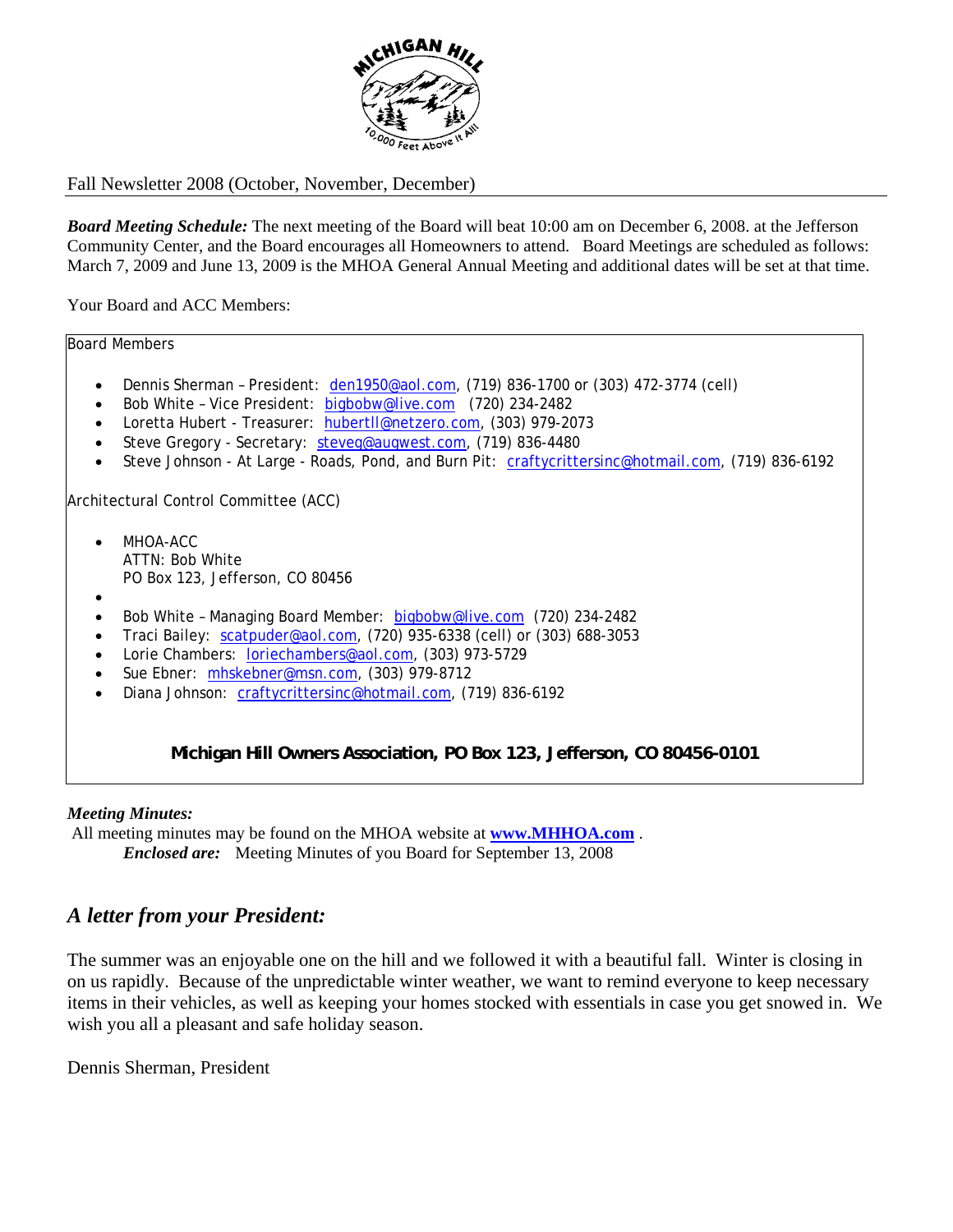

## Fall Newsletter 2008 (October, November, December)

*Board Meeting Schedule:* The next meeting of the Board will beat 10:00 am on December 6, 2008. at the Jefferson Community Center, and the Board encourages all Homeowners to attend. Board Meetings are scheduled as follows: March 7, 2009 and June 13, 2009 is the MHOA General Annual Meeting and additional dates will be set at that time.

Your Board and ACC Members:

Board Members

- Dennis Sherman President: den1950@aol.com, (719) 836-1700 or (303) 472-3774 (cell)
- Bob White Vice President: bigbobw@live.com (720) 234-2482
- Loretta Hubert Treasurer: hubertll@netzero.com, (303) 979-2073
- Steve Gregory Secretary: steveg@augwest.com, (719) 836-4480
- Steve Johnson At Large Roads, Pond, and Burn Pit: craftycrittersinc@hotmail.com, (719) 836-6192

Architectural Control Committee (ACC)

- MHOA-ACC ATTN: Bob White PO Box 123, Jefferson, CO 80456
- •
- Bob White Managing Board Member: bigbobw@live.com (720) 234-2482
- Traci Bailey:  $scatpuder@aol.com$ , (720) 935-6338 (cell) or (303) 688-3053
- Lorie Chambers: loriechambers@aol.com, (303) 973-5729
- Sue Ebner: mhskebner@msn.com, (303) 979-8712
- Diana Johnson: craftycrittersinc@hotmail.com, (719) 836-6192

**Michigan Hill Owners Association, PO Box 123, Jefferson, CO 80456-0101**

#### *Meeting Minutes:*

All meeting minutes may be found on the MHOA website at **www.MHHOA.com** .  *Enclosed are:* Meeting Minutes of you Board for September 13, 2008

# *A letter from your President:*

The summer was an enjoyable one on the hill and we followed it with a beautiful fall. Winter is closing in on us rapidly. Because of the unpredictable winter weather, we want to remind everyone to keep necessary items in their vehicles, as well as keeping your homes stocked with essentials in case you get snowed in. We wish you all a pleasant and safe holiday season.

Dennis Sherman, President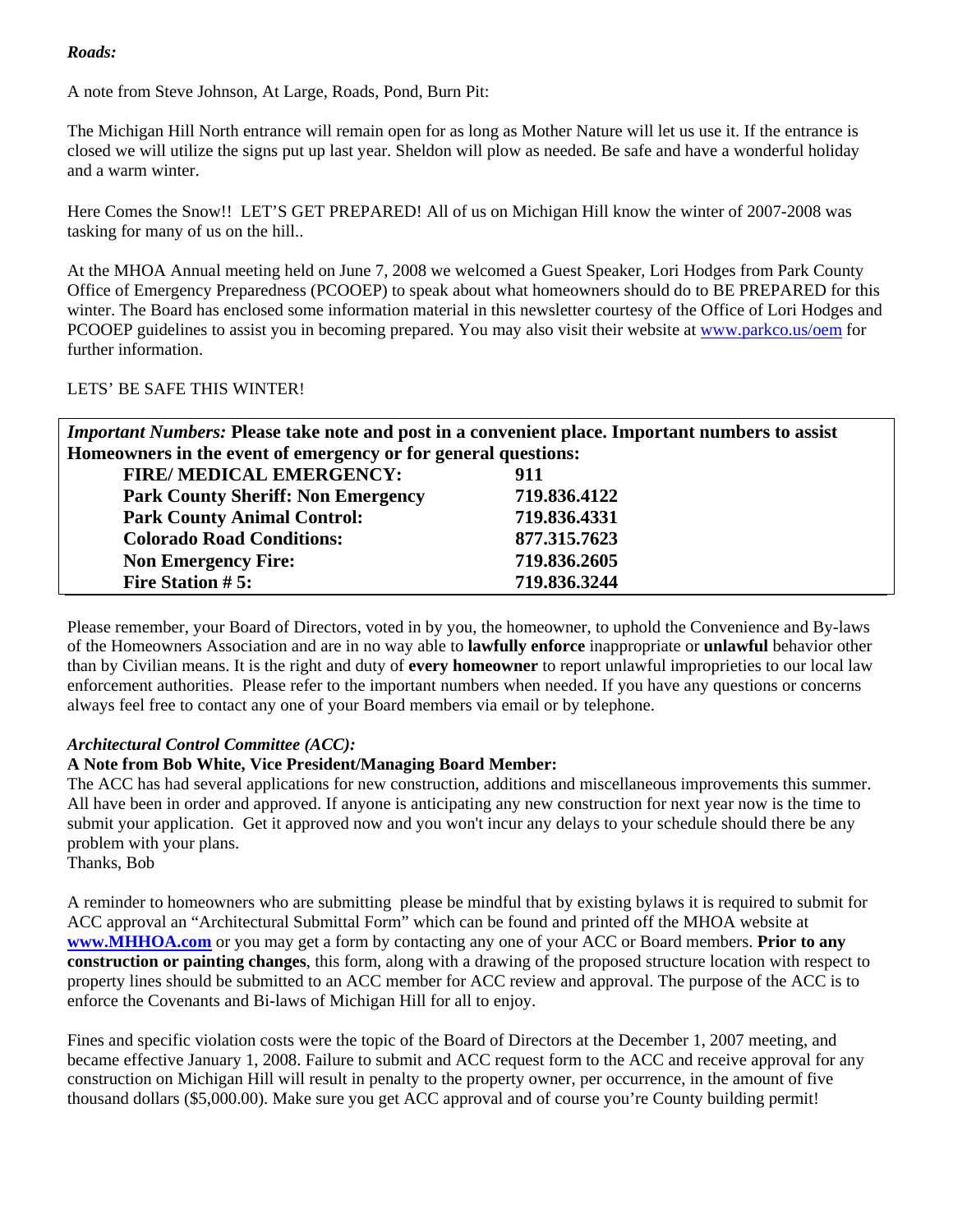## *Roads:*

A note from Steve Johnson, At Large, Roads, Pond, Burn Pit:

The Michigan Hill North entrance will remain open for as long as Mother Nature will let us use it. If the entrance is closed we will utilize the signs put up last year. Sheldon will plow as needed. Be safe and have a wonderful holiday and a warm winter.

Here Comes the Snow!! LET'S GET PREPARED! All of us on Michigan Hill know the winter of 2007-2008 was tasking for many of us on the hill..

At the MHOA Annual meeting held on June 7, 2008 we welcomed a Guest Speaker, Lori Hodges from Park County Office of Emergency Preparedness (PCOOEP) to speak about what homeowners should do to BE PREPARED for this winter. The Board has enclosed some information material in this newsletter courtesy of the Office of Lori Hodges and PCOOEP guidelines to assist you in becoming prepared. You may also visit their website at www.parkco.us/oem for further information.

### LETS' BE SAFE THIS WINTER!

*Important Numbers:* **Please take note and post in a convenient place. Important numbers to assist Homeowners in the event of emergency or for general questions:** 

| 911          |
|--------------|
| 719.836.4122 |
| 719.836.4331 |
| 877.315.7623 |
| 719.836.2605 |
| 719.836.3244 |
|              |

Please remember, your Board of Directors, voted in by you, the homeowner, to uphold the Convenience and By-laws of the Homeowners Association and are in no way able to **lawfully enforce** inappropriate or **unlawful** behavior other than by Civilian means. It is the right and duty of **every homeowner** to report unlawful improprieties to our local law enforcement authorities. Please refer to the important numbers when needed. If you have any questions or concerns always feel free to contact any one of your Board members via email or by telephone.

#### *Architectural Control Committee (ACC):*

### **A Note from Bob White, Vice President/Managing Board Member:**

The ACC has had several applications for new construction, additions and miscellaneous improvements this summer. All have been in order and approved. If anyone is anticipating any new construction for next year now is the time to submit your application. Get it approved now and you won't incur any delays to your schedule should there be any problem with your plans.

Thanks, Bob

A reminder to homeowners who are submitting please be mindful that by existing bylaws it is required to submit for ACC approval an "Architectural Submittal Form" which can be found and printed off the MHOA website at **www.MHHOA.com** or you may get a form by contacting any one of your ACC or Board members. **Prior to any construction or painting changes**, this form, along with a drawing of the proposed structure location with respect to property lines should be submitted to an ACC member for ACC review and approval. The purpose of the ACC is to enforce the Covenants and Bi-laws of Michigan Hill for all to enjoy.

Fines and specific violation costs were the topic of the Board of Directors at the December 1, 2007 meeting, and became effective January 1, 2008. Failure to submit and ACC request form to the ACC and receive approval for any construction on Michigan Hill will result in penalty to the property owner, per occurrence, in the amount of five thousand dollars (\$5,000.00). Make sure you get ACC approval and of course you're County building permit!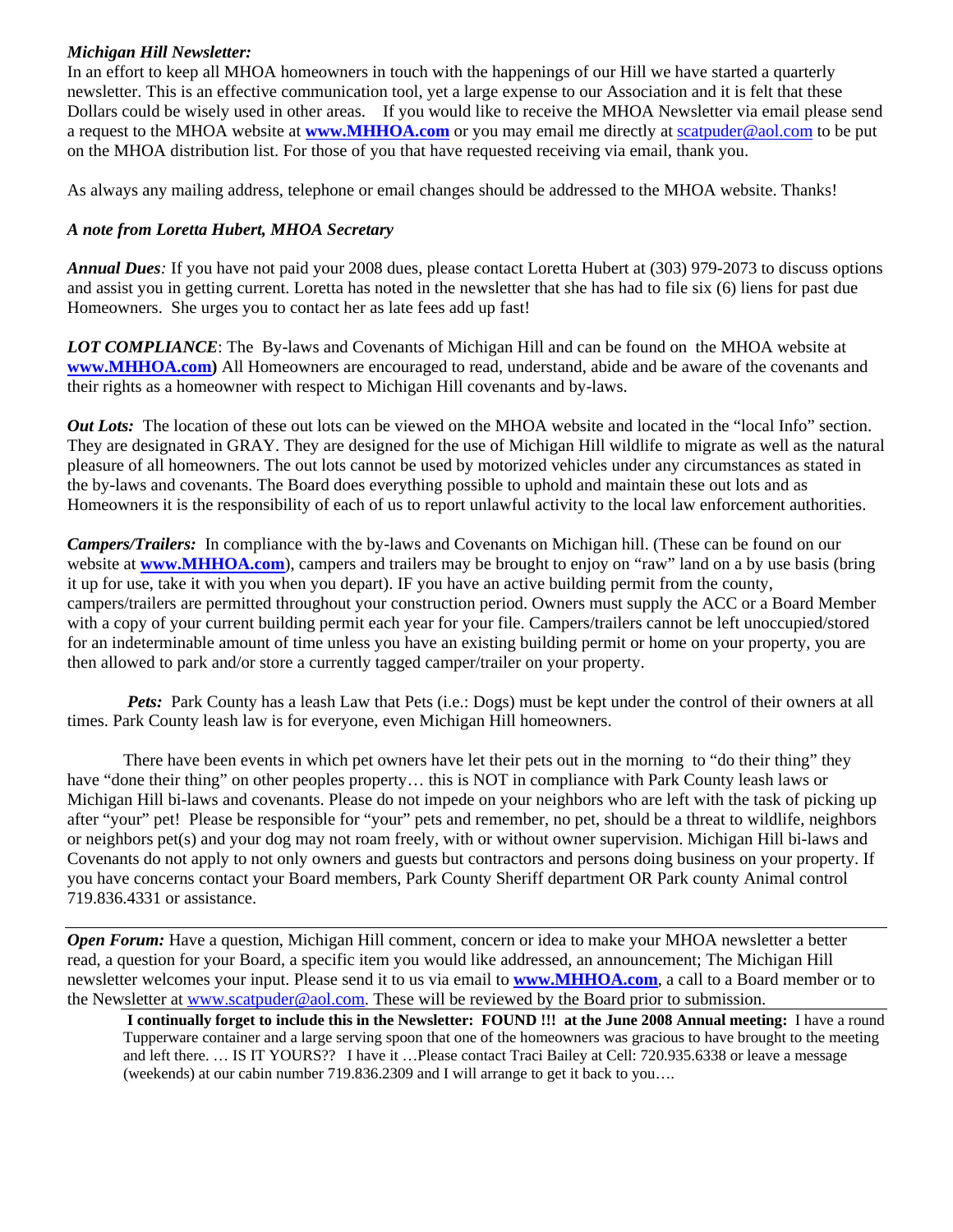## *Michigan Hill Newsletter:*

In an effort to keep all MHOA homeowners in touch with the happenings of our Hill we have started a quarterly newsletter. This is an effective communication tool, yet a large expense to our Association and it is felt that these Dollars could be wisely used in other areas. If you would like to receive the MHOA Newsletter via email please send a request to the MHOA website at **www.MHHOA.com** or you may email me directly at scatpuder@aol.com to be put on the MHOA distribution list. For those of you that have requested receiving via email, thank you.

As always any mailing address, telephone or email changes should be addressed to the MHOA website. Thanks!

#### *A note from Loretta Hubert, MHOA Secretary*

*Annual Dues:* If you have not paid your 2008 dues, please contact Loretta Hubert at (303) 979-2073 to discuss options and assist you in getting current. Loretta has noted in the newsletter that she has had to file six (6) liens for past due Homeowners. She urges you to contact her as late fees add up fast!

*LOT COMPLIANCE*: The By-laws and Covenants of Michigan Hill and can be found on the MHOA website at **www.MHHOA.com)** All Homeowners are encouraged to read, understand, abide and be aware of the covenants and their rights as a homeowner with respect to Michigan Hill covenants and by-laws.

*Out Lots:* The location of these out lots can be viewed on the MHOA website and located in the "local Info" section. They are designated in GRAY. They are designed for the use of Michigan Hill wildlife to migrate as well as the natural pleasure of all homeowners. The out lots cannot be used by motorized vehicles under any circumstances as stated in the by-laws and covenants. The Board does everything possible to uphold and maintain these out lots and as Homeowners it is the responsibility of each of us to report unlawful activity to the local law enforcement authorities.

*Campers/Trailers:* In compliance with the by-laws and Covenants on Michigan hill. (These can be found on our website at **www.MHHOA.com**), campers and trailers may be brought to enjoy on "raw" land on a by use basis (bring it up for use, take it with you when you depart). IF you have an active building permit from the county, campers/trailers are permitted throughout your construction period. Owners must supply the ACC or a Board Member with a copy of your current building permit each year for your file. Campers/trailers cannot be left unoccupied/stored for an indeterminable amount of time unless you have an existing building permit or home on your property, you are then allowed to park and/or store a currently tagged camper/trailer on your property.

Pets: Park County has a leash Law that Pets (i.e.: Dogs) must be kept under the control of their owners at all times. Park County leash law is for everyone, even Michigan Hill homeowners.

There have been events in which pet owners have let their pets out in the morning to "do their thing" they have "done their thing" on other peoples property… this is NOT in compliance with Park County leash laws or Michigan Hill bi-laws and covenants. Please do not impede on your neighbors who are left with the task of picking up after "your" pet! Please be responsible for "your" pets and remember, no pet, should be a threat to wildlife, neighbors or neighbors pet(s) and your dog may not roam freely, with or without owner supervision. Michigan Hill bi-laws and Covenants do not apply to not only owners and guests but contractors and persons doing business on your property. If you have concerns contact your Board members, Park County Sheriff department OR Park county Animal control 719.836.4331 or assistance.

*Open Forum:* Have a question, Michigan Hill comment, concern or idea to make your MHOA newsletter a better read, a question for your Board, a specific item you would like addressed, an announcement; The Michigan Hill newsletter welcomes your input. Please send it to us via email to **www.MHHOA.com**, a call to a Board member or to the Newsletter at www.scatpuder@aol.com. These will be reviewed by the Board prior to submission.

 **I continually forget to include this in the Newsletter: FOUND !!! at the June 2008 Annual meeting:** I have a round Tupperware container and a large serving spoon that one of the homeowners was gracious to have brought to the meeting and left there. … IS IT YOURS?? I have it …Please contact Traci Bailey at Cell: 720.935.6338 or leave a message (weekends) at our cabin number 719.836.2309 and I will arrange to get it back to you….